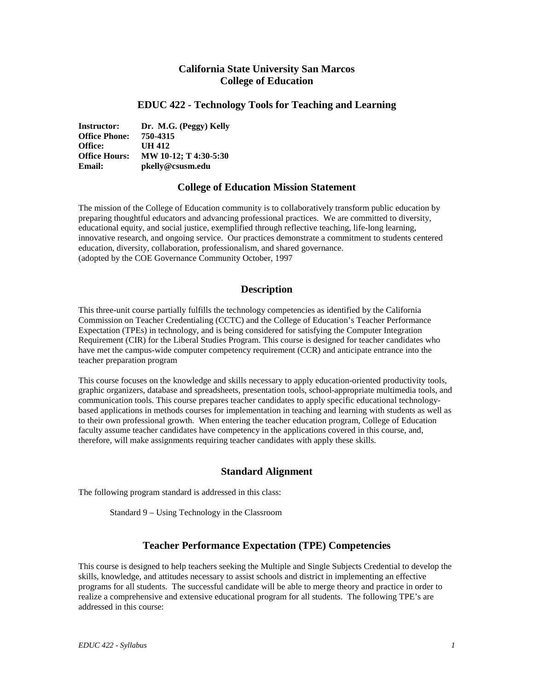# **California State University San Marcos College of Education**

## **EDUC 422 - Technology Tools for Teaching and Learning**

**Instructor: Dr. M.G. (Peggy) Kelly Office Phone: 750-4315 Office: UH 412 Office Hours: MW 10-12; T 4:30-5:30 Email: pkelly@csusm.edu**

## **College of Education Mission Statement**

The mission of the College of Education community is to collaboratively transform public education by preparing thoughtful educators and advancing professional practices. We are committed to diversity, educational equity, and social justice, exemplified through reflective teaching, life-long learning, innovative research, and ongoing service. Our practices demonstrate a commitment to students centered education, diversity, collaboration, professionalism, and shared governance. (adopted by the COE Governance Community October, 1997

## **Description**

This three-unit course partially fulfills the technology competencies as identified by the California Commission on Teacher Credentialing (CCTC) and the College of Education's Teacher Performance Expectation (TPEs) in technology, and is being considered for satisfying the Computer Integration Requirement (CIR) for the Liberal Studies Program. This course is designed for teacher candidates who have met the campus-wide computer competency requirement (CCR) and anticipate entrance into the teacher preparation program

This course focuses on the knowledge and skills necessary to apply education-oriented productivity tools, graphic organizers, database and spreadsheets, presentation tools, school-appropriate multimedia tools, and communication tools. This course prepares teacher candidates to apply specific educational technologybased applications in methods courses for implementation in teaching and learning with students as well as to their own professional growth. When entering the teacher education program, College of Education faculty assume teacher candidates have competency in the applications covered in this course, and, therefore, will make assignments requiring teacher candidates with apply these skills.

## **Standard Alignment**

The following program standard is addressed in this class:

Standard 9 – Using Technology in the Classroom

## **Teacher Performance Expectation (TPE) Competencies**

This course is designed to help teachers seeking the Multiple and Single Subjects Credential to develop the skills, knowledge, and attitudes necessary to assist schools and district in implementing an effective programs for all students. The successful candidate will be able to merge theory and practice in order to realize a comprehensive and extensive educational program for all students. The following TPE's are addressed in this course: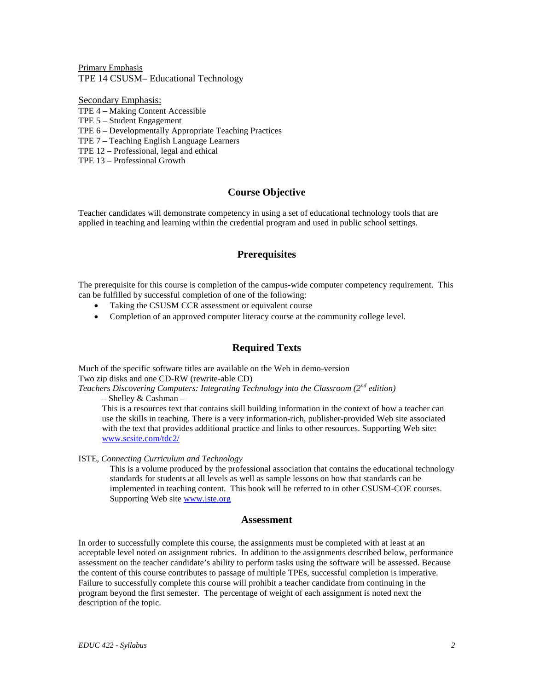Primary Emphasis TPE 14 CSUSM– Educational Technology

Secondary Emphasis:

TPE 4 – Making Content Accessible

TPE 5 – Student Engagement

TPE 6 – Developmentally Appropriate Teaching Practices

TPE 7 – Teaching English Language Learners

TPE 12 – Professional, legal and ethical

TPE 13 – Professional Growth

# **Course Objective**

Teacher candidates will demonstrate competency in using a set of educational technology tools that are applied in teaching and learning within the credential program and used in public school settings.

# **Prerequisites**

The prerequisite for this course is completion of the campus-wide computer competency requirement. This can be fulfilled by successful completion of one of the following:

- Taking the CSUSM CCR assessment or equivalent course
- Completion of an approved computer literacy course at the community college level.

# **Required Texts**

Much of the specific software titles are available on the Web in demo-version Two zip disks and one CD-RW (rewrite-able CD)

*Teachers Discovering Computers: Integrating Technology into the Classroom (2nd edition)* 

– Shelley & Cashman –

This is a resources text that contains skill building information in the context of how a teacher can use the skills in teaching. There is a very information-rich, publisher-provided Web site associated with the text that provides additional practice and links to other resources. Supporting Web site: [www.scsite.com/tdc2/](http://www.scsite.com/tdc2/)

ISTE, *Connecting Curriculum and Technology*

This is a volume produced by the professional association that contains the educational technology standards for students at all levels as well as sample lessons on how that standards can be implemented in teaching content. This book will be referred to in other CSUSM-COE courses. Supporting Web sit[e www.iste.org](http://www.iste.org/)

## **Assessment**

In order to successfully complete this course, the assignments must be completed with at least at an acceptable level noted on assignment rubrics. In addition to the assignments described below, performance assessment on the teacher candidate's ability to perform tasks using the software will be assessed. Because the content of this course contributes to passage of multiple TPEs, successful completion is imperative. Failure to successfully complete this course will prohibit a teacher candidate from continuing in the program beyond the first semester. The percentage of weight of each assignment is noted next the description of the topic.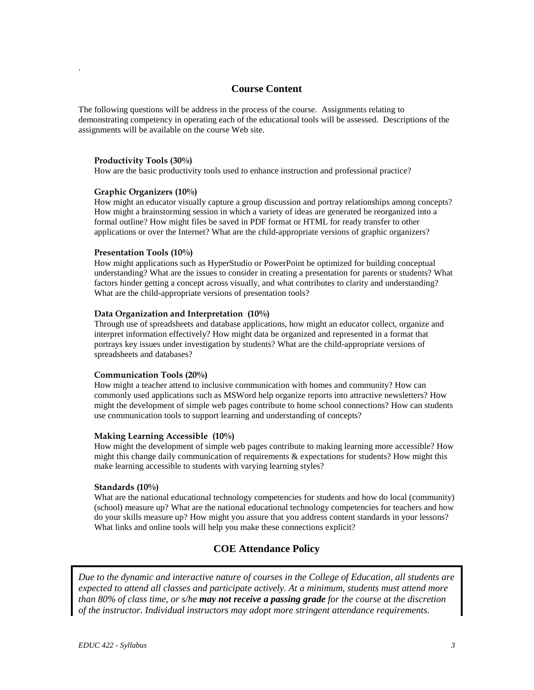## **Course Content**

The following questions will be address in the process of the course. Assignments relating to demonstrating competency in operating each of the educational tools will be assessed. Descriptions of the assignments will be available on the course Web site.

### **Productivity Tools (30%)**

.

How are the basic productivity tools used to enhance instruction and professional practice?

### **Graphic Organizers (10%)**

How might an educator visually capture a group discussion and portray relationships among concepts? How might a brainstorming session in which a variety of ideas are generated be reorganized into a formal outline? How might files be saved in PDF format or HTML for ready transfer to other applications or over the Internet? What are the child-appropriate versions of graphic organizers?

#### **Presentation Tools (10%)**

How might applications such as HyperStudio or PowerPoint be optimized for building conceptual understanding? What are the issues to consider in creating a presentation for parents or students? What factors hinder getting a concept across visually, and what contributes to clarity and understanding? What are the child-appropriate versions of presentation tools?

### **Data Organization and Interpretation (10%)**

Through use of spreadsheets and database applications, how might an educator collect, organize and interpret information effectively? How might data be organized and represented in a format that portrays key issues under investigation by students? What are the child-appropriate versions of spreadsheets and databases?

#### **Communication Tools (20%)**

How might a teacher attend to inclusive communication with homes and community? How can commonly used applications such as MSWord help organize reports into attractive newsletters? How might the development of simple web pages contribute to home school connections? How can students use communication tools to support learning and understanding of concepts?

### **Making Learning Accessible (10%)**

How might the development of simple web pages contribute to making learning more accessible? How might this change daily communication of requirements & expectations for students? How might this make learning accessible to students with varying learning styles?

#### **Standards (10%)**

What are the national educational technology competencies for students and how do local (community) (school) measure up? What are the national educational technology competencies for teachers and how do your skills measure up? How might you assure that you address content standards in your lessons? What links and online tools will help you make these connections explicit?

## **COE Attendance Policy**

*Due to the dynamic and interactive nature of courses in the College of Education, all students are expected to attend all classes and participate actively. At a minimum, students must attend more than 80% of class time, or s/he may not receive a passing grade for the course at the discretion of the instructor. Individual instructors may adopt more stringent attendance requirements.*